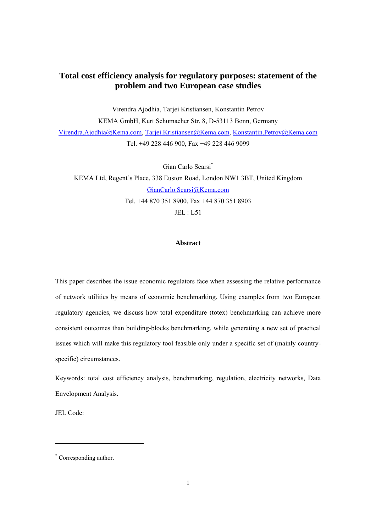# **Total cost efficiency analysis for regulatory purposes: statement of the problem and two European case studies**

Virendra Ajodhia, Tarjei Kristiansen, Konstantin Petrov KEMA GmbH, Kurt Schumacher Str. 8, D-53113 Bonn, Germany Virendra.Ajodhia@Kema.com, Tarjei.Kristiansen@Kema.com, Konstantin.Petrov@Kema.com Tel. +49 228 446 900, Fax +49 228 446 9099

Gian Carlo Scarsi\* KEMA Ltd, Regent's Place, 338 Euston Road, London NW1 3BT, United Kingdom GianCarlo.Scarsi@Kema.com Tel. +44 870 351 8900, Fax +44 870 351 8903  $JEL \cdot L51$ 

# **Abstract**

This paper describes the issue economic regulators face when assessing the relative performance of network utilities by means of economic benchmarking. Using examples from two European regulatory agencies, we discuss how total expenditure (totex) benchmarking can achieve more consistent outcomes than building-blocks benchmarking, while generating a new set of practical issues which will make this regulatory tool feasible only under a specific set of (mainly countryspecific) circumstances.

Keywords: total cost efficiency analysis, benchmarking, regulation, electricity networks, Data Envelopment Analysis.

JEL Code:

 $\overline{a}$ 

<sup>\*</sup> Corresponding author.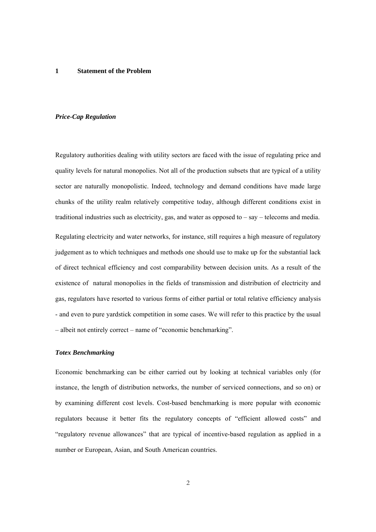#### **1 Statement of the Problem**

#### *Price-Cap Regulation*

Regulatory authorities dealing with utility sectors are faced with the issue of regulating price and quality levels for natural monopolies. Not all of the production subsets that are typical of a utility sector are naturally monopolistic. Indeed, technology and demand conditions have made large chunks of the utility realm relatively competitive today, although different conditions exist in traditional industries such as electricity, gas, and water as opposed to – say – telecoms and media. Regulating electricity and water networks, for instance, still requires a high measure of regulatory judgement as to which techniques and methods one should use to make up for the substantial lack of direct technical efficiency and cost comparability between decision units. As a result of the existence of natural monopolies in the fields of transmission and distribution of electricity and gas, regulators have resorted to various forms of either partial or total relative efficiency analysis - and even to pure yardstick competition in some cases. We will refer to this practice by the usual – albeit not entirely correct – name of "economic benchmarking".

#### *Totex Benchmarking*

Economic benchmarking can be either carried out by looking at technical variables only (for instance, the length of distribution networks, the number of serviced connections, and so on) or by examining different cost levels. Cost-based benchmarking is more popular with economic regulators because it better fits the regulatory concepts of "efficient allowed costs" and "regulatory revenue allowances" that are typical of incentive-based regulation as applied in a number or European, Asian, and South American countries.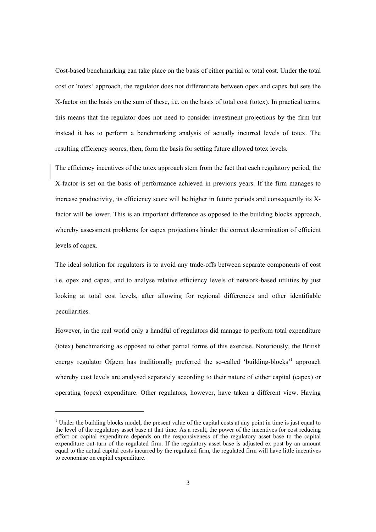Cost-based benchmarking can take place on the basis of either partial or total cost. Under the total cost or 'totex' approach, the regulator does not differentiate between opex and capex but sets the X-factor on the basis on the sum of these, i.e. on the basis of total cost (totex). In practical terms, this means that the regulator does not need to consider investment projections by the firm but instead it has to perform a benchmarking analysis of actually incurred levels of totex. The resulting efficiency scores, then, form the basis for setting future allowed totex levels.

The efficiency incentives of the totex approach stem from the fact that each regulatory period, the X-factor is set on the basis of performance achieved in previous years. If the firm manages to increase productivity, its efficiency score will be higher in future periods and consequently its Xfactor will be lower. This is an important difference as opposed to the building blocks approach, whereby assessment problems for capex projections hinder the correct determination of efficient levels of capex.

The ideal solution for regulators is to avoid any trade-offs between separate components of cost i.e. opex and capex, and to analyse relative efficiency levels of network-based utilities by just looking at total cost levels, after allowing for regional differences and other identifiable peculiarities.

However, in the real world only a handful of regulators did manage to perform total expenditure (totex) benchmarking as opposed to other partial forms of this exercise. Notoriously, the British energy regulator Ofgem has traditionally preferred the so-called 'building-blocks'<sup>1</sup> approach whereby cost levels are analysed separately according to their nature of either capital (capex) or operating (opex) expenditure. Other regulators, however, have taken a different view. Having

 $\overline{a}$ 

<sup>&</sup>lt;sup>1</sup> Under the building blocks model, the present value of the capital costs at any point in time is just equal to the level of the regulatory asset base at that time. As a result, the power of the incentives for cost reducing effort on capital expenditure depends on the responsiveness of the regulatory asset base to the capital expenditure out-turn of the regulated firm. If the regulatory asset base is adjusted ex post by an amount equal to the actual capital costs incurred by the regulated firm, the regulated firm will have little incentives to economise on capital expenditure.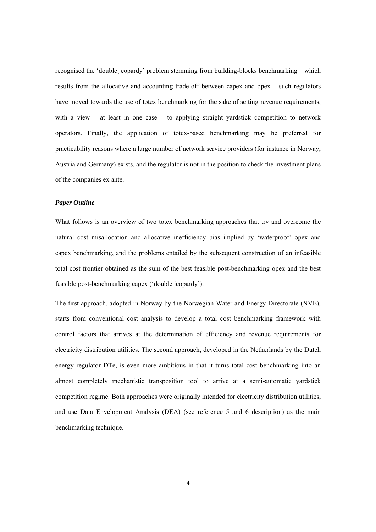recognised the 'double jeopardy' problem stemming from building-blocks benchmarking – which results from the allocative and accounting trade-off between capex and opex – such regulators have moved towards the use of totex benchmarking for the sake of setting revenue requirements, with a view – at least in one case – to applying straight yardstick competition to network operators. Finally, the application of totex-based benchmarking may be preferred for practicability reasons where a large number of network service providers (for instance in Norway, Austria and Germany) exists, and the regulator is not in the position to check the investment plans of the companies ex ante.

### *Paper Outline*

What follows is an overview of two totex benchmarking approaches that try and overcome the natural cost misallocation and allocative inefficiency bias implied by 'waterproof' opex and capex benchmarking, and the problems entailed by the subsequent construction of an infeasible total cost frontier obtained as the sum of the best feasible post-benchmarking opex and the best feasible post-benchmarking capex ('double jeopardy').

The first approach, adopted in Norway by the Norwegian Water and Energy Directorate (NVE), starts from conventional cost analysis to develop a total cost benchmarking framework with control factors that arrives at the determination of efficiency and revenue requirements for electricity distribution utilities. The second approach, developed in the Netherlands by the Dutch energy regulator DTe, is even more ambitious in that it turns total cost benchmarking into an almost completely mechanistic transposition tool to arrive at a semi-automatic yardstick competition regime. Both approaches were originally intended for electricity distribution utilities, and use Data Envelopment Analysis (DEA) (see reference 5 and 6 description) as the main benchmarking technique.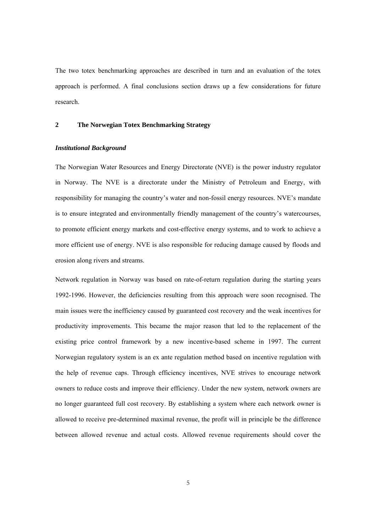The two totex benchmarking approaches are described in turn and an evaluation of the totex approach is performed. A final conclusions section draws up a few considerations for future research.

### **2 The Norwegian Totex Benchmarking Strategy**

#### *Institutional Background*

The Norwegian Water Resources and Energy Directorate (NVE) is the power industry regulator in Norway. The NVE is a directorate under the Ministry of Petroleum and Energy, with responsibility for managing the country's water and non-fossil energy resources. NVE's mandate is to ensure integrated and environmentally friendly management of the country's watercourses, to promote efficient energy markets and cost-effective energy systems, and to work to achieve a more efficient use of energy. NVE is also responsible for reducing damage caused by floods and erosion along rivers and streams.

Network regulation in Norway was based on rate-of-return regulation during the starting years 1992-1996. However, the deficiencies resulting from this approach were soon recognised. The main issues were the inefficiency caused by guaranteed cost recovery and the weak incentives for productivity improvements. This became the major reason that led to the replacement of the existing price control framework by a new incentive-based scheme in 1997. The current Norwegian regulatory system is an ex ante regulation method based on incentive regulation with the help of revenue caps. Through efficiency incentives, NVE strives to encourage network owners to reduce costs and improve their efficiency. Under the new system, network owners are no longer guaranteed full cost recovery. By establishing a system where each network owner is allowed to receive pre-determined maximal revenue, the profit will in principle be the difference between allowed revenue and actual costs. Allowed revenue requirements should cover the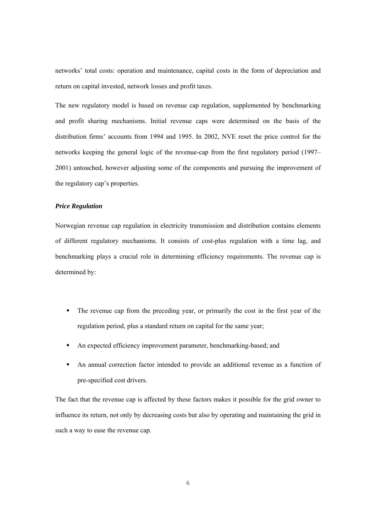networks' total costs: operation and maintenance, capital costs in the form of depreciation and return on capital invested, network losses and profit taxes.

The new regulatory model is based on revenue cap regulation, supplemented by benchmarking and profit sharing mechanisms. Initial revenue caps were determined on the basis of the distribution firms' accounts from 1994 and 1995. In 2002, NVE reset the price control for the networks keeping the general logic of the revenue-cap from the first regulatory period (1997– 2001) untouched, however adjusting some of the components and pursuing the improvement of the regulatory cap's properties.

# *Price Regulation*

Norwegian revenue cap regulation in electricity transmission and distribution contains elements of different regulatory mechanisms. It consists of cost-plus regulation with a time lag, and benchmarking plays a crucial role in determining efficiency requirements. The revenue cap is determined by:

- The revenue cap from the preceding year, or primarily the cost in the first year of the regulation period, plus a standard return on capital for the same year;
- An expected efficiency improvement parameter, benchmarking-based; and
- An annual correction factor intended to provide an additional revenue as a function of pre-specified cost drivers.

The fact that the revenue cap is affected by these factors makes it possible for the grid owner to influence its return, not only by decreasing costs but also by operating and maintaining the grid in such a way to ease the revenue cap.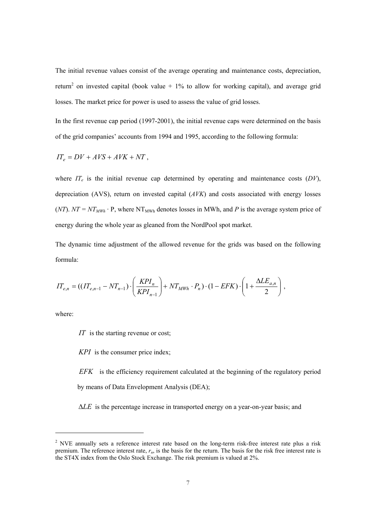The initial revenue values consist of the average operating and maintenance costs, depreciation, return<sup>2</sup> on invested capital (book value  $+1\%$  to allow for working capital), and average grid losses. The market price for power is used to assess the value of grid losses.

In the first revenue cap period (1997-2001), the initial revenue caps were determined on the basis of the grid companies' accounts from 1994 and 1995, according to the following formula:

$$
IT_e = DV + AVS + AVK + NT,
$$

where  $IT_e$  is the initial revenue cap determined by operating and maintenance costs  $(DV)$ , depreciation (AVS), return on invested capital (*AVK*) and costs associated with energy losses (*NT*).  $NT = NT_{MWh} \cdot P$ , where NT<sub>MWh</sub> denotes losses in MWh, and *P* is the average system price of energy during the whole year as gleaned from the NordPool spot market.

The dynamic time adjustment of the allowed revenue for the grids was based on the following formula:

$$
IT_{e,n} = ((IT_{e,n-1} - NT_{n-1}) \cdot \left(\frac{KPI_n}{KPI_{n-1}}\right) + NT_{MWh} \cdot P_n) \cdot (1 - EFK) \cdot \left(1 + \frac{\Delta LE_{a,n}}{2}\right),
$$

where:

j

*IT* is the starting revenue or cost;

*KPI* is the consumer price index;

*EFK* is the efficiency requirement calculated at the beginning of the regulatory period by means of Data Envelopment Analysis (DEA);

∆*LE* is the percentage increase in transported energy on a year-on-year basis; and

 $2$  NVE annually sets a reference interest rate based on the long-term risk-free interest rate plus a risk premium. The reference interest rate, *rn*, is the basis for the return. The basis for the risk free interest rate is the ST4X index from the Oslo Stock Exchange. The risk premium is valued at 2%.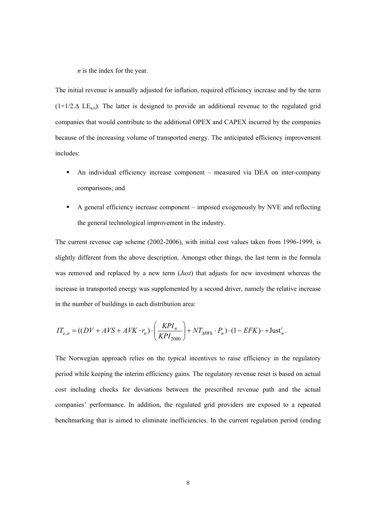*n* is the index for the year.

The initial revenue is annually adjusted for inflation, required efficiency increase and by the term  $(1+1/2.\Delta$  LE<sub>an</sub>). The latter is designed to provide an additional revenue to the regulated grid companies that would contribute to the additional OPEX and CAPEX incurred by the companies because of the increasing volume of transported energy. The anticipated efficiency improvement includes:

- An individual efficiency increase component measured via DEA on inter-company comparisons; and
- A general efficiency increase component imposed exogenously by NVE and reflecting the general technological improvement in the industry.

The current revenue cap scheme (2002-2006), with initial cost values taken from 1996-1999, is slightly different from the above description. Amongst other things, the last term in the formula was removed and replaced by a new term (*Just*) that adjusts for new investment whereas the increase in transported energy was supplemented by a second driver, namely the relative increase in the number of buildings in each distribution area:

$$
IT_{e,n} = ((DV + AVS + AVK \cdot r_n) \cdot \left(\frac{KPI_n}{KPI_{2000}}\right) + NT_{MWh} \cdot P_n) \cdot (1 - EFK) \cdot + \text{Just}_n^i.
$$

The Norwegian approach relies on the typical incentives to raise efficiency in the regulatory period while keeping the interim efficiency gains. The regulatory revenue reset is based on actual cost including checks for deviations between the prescribed revenue path and the actual companies' performance. In addition, the regulated grid providers are exposed to a repeated benchmarking that is aimed to eliminate inefficiencies. In the current regulation period (ending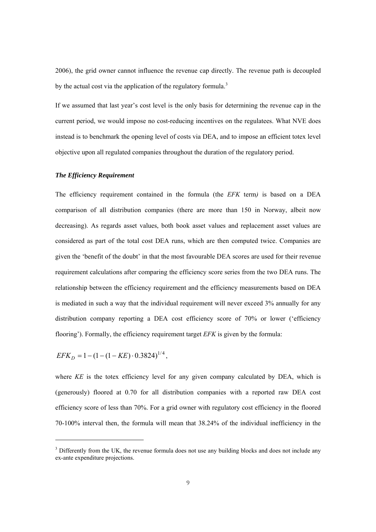2006), the grid owner cannot influence the revenue cap directly. The revenue path is decoupled by the actual cost via the application of the regulatory formula.<sup>3</sup>

If we assumed that last year's cost level is the only basis for determining the revenue cap in the current period, we would impose no cost-reducing incentives on the regulatees. What NVE does instead is to benchmark the opening level of costs via DEA, and to impose an efficient totex level objective upon all regulated companies throughout the duration of the regulatory period.

### *The Efficiency Requirement*

The efficiency requirement contained in the formula (the *EFK* term*)* is based on a DEA comparison of all distribution companies (there are more than 150 in Norway, albeit now decreasing). As regards asset values, both book asset values and replacement asset values are considered as part of the total cost DEA runs, which are then computed twice. Companies are given the 'benefit of the doubt' in that the most favourable DEA scores are used for their revenue requirement calculations after comparing the efficiency score series from the two DEA runs. The relationship between the efficiency requirement and the efficiency measurements based on DEA is mediated in such a way that the individual requirement will never exceed 3% annually for any distribution company reporting a DEA cost efficiency score of 70% or lower ('efficiency flooring'). Formally, the efficiency requirement target *EFK* is given by the formula:

 $EFK_p = 1 - (1 - (1 - KE) \cdot 0.3824)^{1/4}$ ,

j

where *KE* is the totex efficiency level for any given company calculated by DEA, which is (generously) floored at 0.70 for all distribution companies with a reported raw DEA cost efficiency score of less than 70%. For a grid owner with regulatory cost efficiency in the floored 70-100% interval then, the formula will mean that 38.24% of the individual inefficiency in the

 $3$  Differently from the UK, the revenue formula does not use any building blocks and does not include any ex-ante expenditure projections.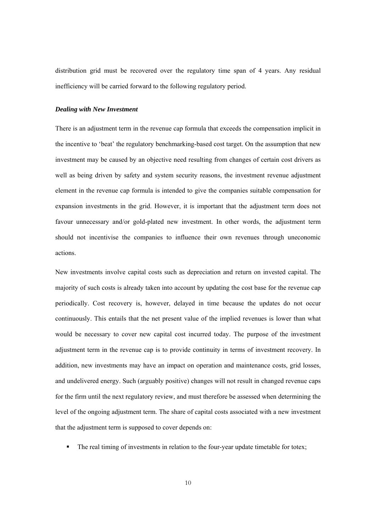distribution grid must be recovered over the regulatory time span of 4 years. Any residual inefficiency will be carried forward to the following regulatory period.

### *Dealing with New Investment*

There is an adjustment term in the revenue cap formula that exceeds the compensation implicit in the incentive to 'beat' the regulatory benchmarking-based cost target. On the assumption that new investment may be caused by an objective need resulting from changes of certain cost drivers as well as being driven by safety and system security reasons, the investment revenue adjustment element in the revenue cap formula is intended to give the companies suitable compensation for expansion investments in the grid. However, it is important that the adjustment term does not favour unnecessary and/or gold-plated new investment. In other words, the adjustment term should not incentivise the companies to influence their own revenues through uneconomic actions.

New investments involve capital costs such as depreciation and return on invested capital. The majority of such costs is already taken into account by updating the cost base for the revenue cap periodically. Cost recovery is, however, delayed in time because the updates do not occur continuously. This entails that the net present value of the implied revenues is lower than what would be necessary to cover new capital cost incurred today. The purpose of the investment adjustment term in the revenue cap is to provide continuity in terms of investment recovery. In addition, new investments may have an impact on operation and maintenance costs, grid losses, and undelivered energy. Such (arguably positive) changes will not result in changed revenue caps for the firm until the next regulatory review, and must therefore be assessed when determining the level of the ongoing adjustment term. The share of capital costs associated with a new investment that the adjustment term is supposed to cover depends on:

The real timing of investments in relation to the four-year update timetable for totex;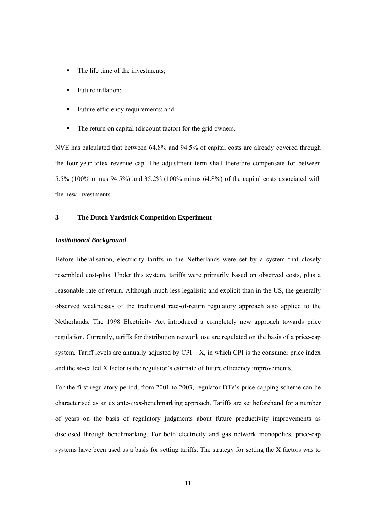- The life time of the investments;
- **Future inflation;**
- Future efficiency requirements; and
- The return on capital (discount factor) for the grid owners.

NVE has calculated that between 64.8% and 94.5% of capital costs are already covered through the four-year totex revenue cap. The adjustment term shall therefore compensate for between 5.5% (100% minus 94.5%) and 35.2% (100% minus 64.8%) of the capital costs associated with the new investments.

### **3 The Dutch Yardstick Competition Experiment**

### *Institutional Background*

Before liberalisation, electricity tariffs in the Netherlands were set by a system that closely resembled cost-plus. Under this system, tariffs were primarily based on observed costs, plus a reasonable rate of return. Although much less legalistic and explicit than in the US, the generally observed weaknesses of the traditional rate-of-return regulatory approach also applied to the Netherlands. The 1998 Electricity Act introduced a completely new approach towards price regulation. Currently, tariffs for distribution network use are regulated on the basis of a price-cap system. Tariff levels are annually adjusted by  $CPI - X$ , in which CPI is the consumer price index and the so-called X factor is the regulator's estimate of future efficiency improvements.

For the first regulatory period, from 2001 to 2003, regulator DTe's price capping scheme can be characterised as an ex ante-*cum*-benchmarking approach. Tariffs are set beforehand for a number of years on the basis of regulatory judgments about future productivity improvements as disclosed through benchmarking. For both electricity and gas network monopolies, price-cap systems have been used as a basis for setting tariffs. The strategy for setting the X factors was to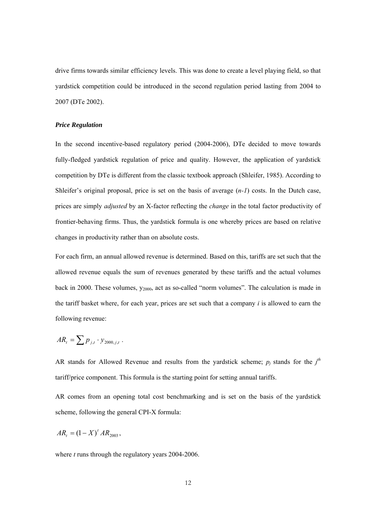drive firms towards similar efficiency levels. This was done to create a level playing field, so that yardstick competition could be introduced in the second regulation period lasting from 2004 to 2007 (DTe 2002).

### *Price Regulation*

In the second incentive-based regulatory period (2004-2006), DTe decided to move towards fully-fledged yardstick regulation of price and quality. However, the application of yardstick competition by DTe is different from the classic textbook approach (Shleifer, 1985). According to Shleifer's original proposal, price is set on the basis of average (*n-1*) costs. In the Dutch case, prices are simply *adjusted* by an X-factor reflecting the *change* in the total factor productivity of frontier-behaving firms. Thus, the yardstick formula is one whereby prices are based on relative changes in productivity rather than on absolute costs.

For each firm, an annual allowed revenue is determined. Based on this, tariffs are set such that the allowed revenue equals the sum of revenues generated by these tariffs and the actual volumes back in 2000. These volumes,  $y_{2000}$ , act as so-called "norm volumes". The calculation is made in the tariff basket where, for each year, prices are set such that a company *i* is allowed to earn the following revenue:

$$
AR_t = \sum p_{j,t} \cdot y_{2000,j,t} .
$$

AR stands for Allowed Revenue and results from the yardstick scheme;  $p_j$  stands for the  $j^{\text{th}}$ tariff/price component. This formula is the starting point for setting annual tariffs.

AR comes from an opening total cost benchmarking and is set on the basis of the yardstick scheme, following the general CPI-X formula:

$$
AR_{t} = (1 - X)^{t} AR_{2003},
$$

where *t* runs through the regulatory years 2004-2006.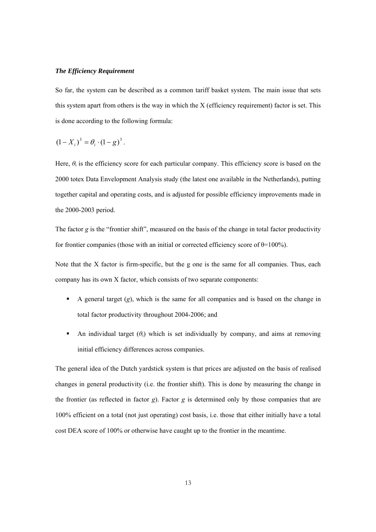#### *The Efficiency Requirement*

So far, the system can be described as a common tariff basket system. The main issue that sets this system apart from others is the way in which the X (efficiency requirement) factor is set. This is done according to the following formula:

$$
(1 - X_i)^3 = \theta_i \cdot (1 - g)^3.
$$

Here,  $\theta_i$  is the efficiency score for each particular company. This efficiency score is based on the 2000 totex Data Envelopment Analysis study (the latest one available in the Netherlands), putting together capital and operating costs, and is adjusted for possible efficiency improvements made in the 2000-2003 period.

The factor *g* is the "frontier shift", measured on the basis of the change in total factor productivity for frontier companies (those with an initial or corrected efficiency score of  $\theta$ =100%).

Note that the X factor is firm-specific, but the g one is the same for all companies. Thus, each company has its own X factor, which consists of two separate components:

- A general target  $(g)$ , which is the same for all companies and is based on the change in total factor productivity throughout 2004-2006; and
- An individual target  $(\theta_i)$  which is set individually by company, and aims at removing initial efficiency differences across companies.

The general idea of the Dutch yardstick system is that prices are adjusted on the basis of realised changes in general productivity (i.e. the frontier shift). This is done by measuring the change in the frontier (as reflected in factor *g*). Factor *g* is determined only by those companies that are 100% efficient on a total (not just operating) cost basis, i.e. those that either initially have a total cost DEA score of 100% or otherwise have caught up to the frontier in the meantime.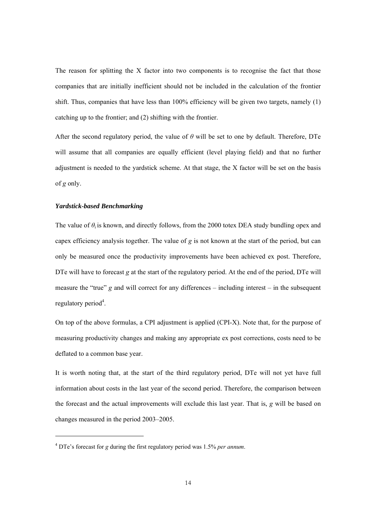The reason for splitting the X factor into two components is to recognise the fact that those companies that are initially inefficient should not be included in the calculation of the frontier shift. Thus, companies that have less than 100% efficiency will be given two targets, namely (1) catching up to the frontier; and (2) shifting with the frontier.

After the second regulatory period, the value of *θ* will be set to one by default. Therefore, DTe will assume that all companies are equally efficient (level playing field) and that no further adjustment is needed to the yardstick scheme. At that stage, the X factor will be set on the basis of *g* only.

# *Yardstick-based Benchmarking*

 $\overline{a}$ 

The value of  $\theta_i$  is known, and directly follows, from the 2000 totex DEA study bundling opex and capex efficiency analysis together. The value of *g* is not known at the start of the period, but can only be measured once the productivity improvements have been achieved ex post. Therefore, DTe will have to forecast *g* at the start of the regulatory period. At the end of the period, DTe will measure the "true" *g* and will correct for any differences – including interest – in the subsequent regulatory period<sup>4</sup>.

On top of the above formulas, a CPI adjustment is applied (CPI-X). Note that, for the purpose of measuring productivity changes and making any appropriate ex post corrections, costs need to be deflated to a common base year.

It is worth noting that, at the start of the third regulatory period, DTe will not yet have full information about costs in the last year of the second period. Therefore, the comparison between the forecast and the actual improvements will exclude this last year. That is, *g* will be based on changes measured in the period 2003–2005.

<sup>4</sup> DTe's forecast for *g* during the first regulatory period was 1.5% *per annum*.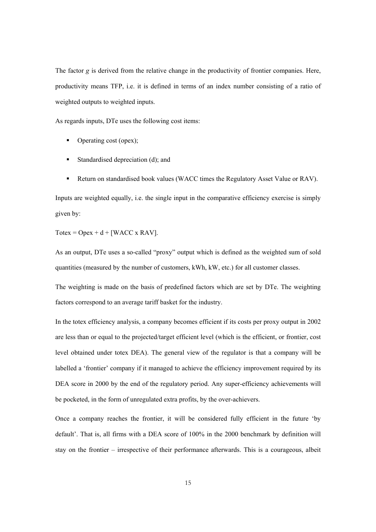The factor *g* is derived from the relative change in the productivity of frontier companies. Here, productivity means TFP, i.e. it is defined in terms of an index number consisting of a ratio of weighted outputs to weighted inputs.

As regards inputs, DTe uses the following cost items:

- Operating cost (opex);
- Standardised depreciation (d); and
- Return on standardised book values (WACC times the Regulatory Asset Value or RAV).

Inputs are weighted equally, i.e. the single input in the comparative efficiency exercise is simply given by:

Totex =  $O$ pex + d + [WACC x RAV].

As an output, DTe uses a so-called "proxy" output which is defined as the weighted sum of sold quantities (measured by the number of customers, kWh, kW, etc.) for all customer classes.

The weighting is made on the basis of predefined factors which are set by DTe. The weighting factors correspond to an average tariff basket for the industry.

In the totex efficiency analysis, a company becomes efficient if its costs per proxy output in 2002 are less than or equal to the projected/target efficient level (which is the efficient, or frontier, cost level obtained under totex DEA). The general view of the regulator is that a company will be labelled a 'frontier' company if it managed to achieve the efficiency improvement required by its DEA score in 2000 by the end of the regulatory period. Any super-efficiency achievements will be pocketed, in the form of unregulated extra profits, by the over-achievers.

Once a company reaches the frontier, it will be considered fully efficient in the future 'by default'. That is, all firms with a DEA score of 100% in the 2000 benchmark by definition will stay on the frontier – irrespective of their performance afterwards. This is a courageous, albeit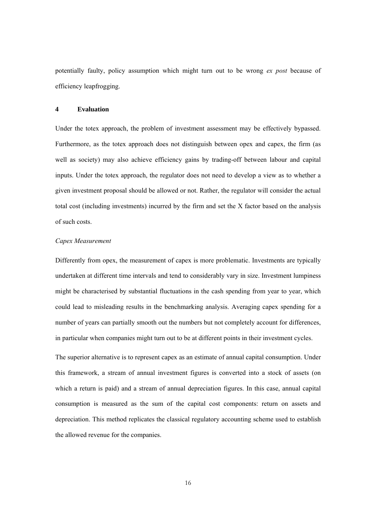potentially faulty, policy assumption which might turn out to be wrong *ex post* because of efficiency leapfrogging.

# **4 Evaluation**

Under the totex approach, the problem of investment assessment may be effectively bypassed. Furthermore, as the totex approach does not distinguish between opex and capex, the firm (as well as society) may also achieve efficiency gains by trading-off between labour and capital inputs. Under the totex approach, the regulator does not need to develop a view as to whether a given investment proposal should be allowed or not. Rather, the regulator will consider the actual total cost (including investments) incurred by the firm and set the X factor based on the analysis of such costs.

#### *Capex Measurement*

Differently from opex, the measurement of capex is more problematic. Investments are typically undertaken at different time intervals and tend to considerably vary in size. Investment lumpiness might be characterised by substantial fluctuations in the cash spending from year to year, which could lead to misleading results in the benchmarking analysis. Averaging capex spending for a number of years can partially smooth out the numbers but not completely account for differences, in particular when companies might turn out to be at different points in their investment cycles.

The superior alternative is to represent capex as an estimate of annual capital consumption. Under this framework, a stream of annual investment figures is converted into a stock of assets (on which a return is paid) and a stream of annual depreciation figures. In this case, annual capital consumption is measured as the sum of the capital cost components: return on assets and depreciation. This method replicates the classical regulatory accounting scheme used to establish the allowed revenue for the companies.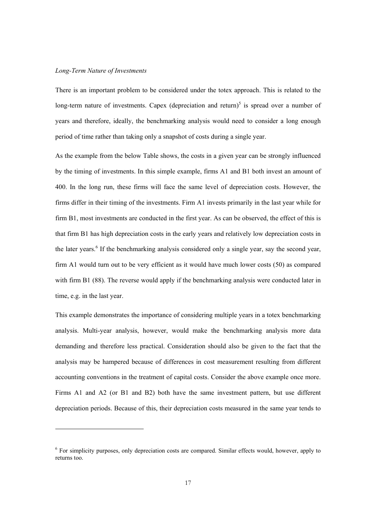#### *Long-Term Nature of Investments*

 $\overline{a}$ 

There is an important problem to be considered under the totex approach. This is related to the long-term nature of investments. Capex (depreciation and return)<sup>5</sup> is spread over a number of years and therefore, ideally, the benchmarking analysis would need to consider a long enough period of time rather than taking only a snapshot of costs during a single year.

As the example from the below Table shows, the costs in a given year can be strongly influenced by the timing of investments. In this simple example, firms A1 and B1 both invest an amount of 400. In the long run, these firms will face the same level of depreciation costs. However, the firms differ in their timing of the investments. Firm A1 invests primarily in the last year while for firm B1, most investments are conducted in the first year. As can be observed, the effect of this is that firm B1 has high depreciation costs in the early years and relatively low depreciation costs in the later years.<sup>6</sup> If the benchmarking analysis considered only a single year, say the second year, firm A1 would turn out to be very efficient as it would have much lower costs (50) as compared with firm B1 (88). The reverse would apply if the benchmarking analysis were conducted later in time, e.g. in the last year.

This example demonstrates the importance of considering multiple years in a totex benchmarking analysis. Multi-year analysis, however, would make the benchmarking analysis more data demanding and therefore less practical. Consideration should also be given to the fact that the analysis may be hampered because of differences in cost measurement resulting from different accounting conventions in the treatment of capital costs. Consider the above example once more. Firms A1 and A2 (or B1 and B2) both have the same investment pattern, but use different depreciation periods. Because of this, their depreciation costs measured in the same year tends to

<sup>&</sup>lt;sup>6</sup> For simplicity purposes, only depreciation costs are compared. Similar effects would, however, apply to returns too.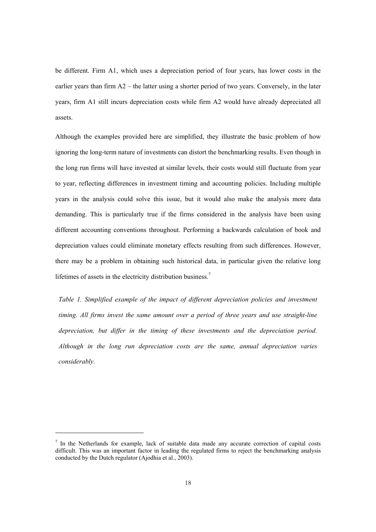be different. Firm A1, which uses a depreciation period of four years, has lower costs in the earlier years than firm  $A2$  – the latter using a shorter period of two years. Conversely, in the later years, firm A1 still incurs depreciation costs while firm A2 would have already depreciated all assets.

Although the examples provided here are simplified, they illustrate the basic problem of how ignoring the long-term nature of investments can distort the benchmarking results. Even though in the long run firms will have invested at similar levels, their costs would still fluctuate from year to year, reflecting differences in investment timing and accounting policies. Including multiple years in the analysis could solve this issue, but it would also make the analysis more data demanding. This is particularly true if the firms considered in the analysis have been using different accounting conventions throughout. Performing a backwards calculation of book and depreciation values could eliminate monetary effects resulting from such differences. However, there may be a problem in obtaining such historical data, in particular given the relative long lifetimes of assets in the electricity distribution business.<sup>7</sup>

*Table 1. Simplified example of the impact of different depreciation policies and investment timing. All firms invest the same amount over a period of three years and use straight-line depreciation, but differ in the timing of these investments and the depreciation period. Although in the long run depreciation costs are the same, annual depreciation varies considerably.* 

j

 $<sup>7</sup>$  In the Netherlands for example, lack of suitable data made any accurate correction of capital costs</sup> difficult. This was an important factor in leading the regulated firms to reject the benchmarking analysis conducted by the Dutch regulator (Ajodhia et al., 2003).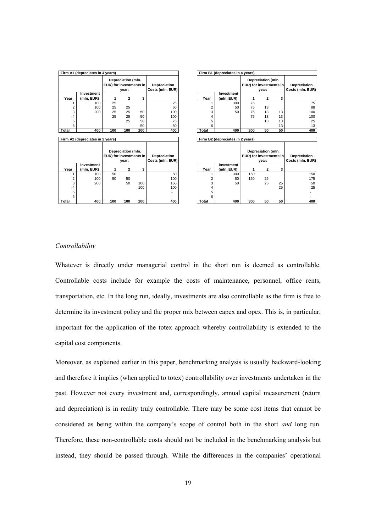| Firm A1 (depreciates in 4 years) |                    |                                                        |                  |     |                                  |            | Firm B1 (depreciates in 4 years) |     |                                                        |                                  |     |  |
|----------------------------------|--------------------|--------------------------------------------------------|------------------|-----|----------------------------------|------------|----------------------------------|-----|--------------------------------------------------------|----------------------------------|-----|--|
|                                  |                    | Depreciation (mln.<br>EUR) for investments in<br>vear: |                  |     | Depreciation<br>Costs (mln. EUR) |            |                                  |     | Depreciation (mln.<br>EUR) for investments in<br>vear: | Depreciation<br>Costs (mln. EUR) |     |  |
|                                  | Investment         |                                                        |                  |     |                                  |            | Investment                       |     |                                                        |                                  |     |  |
| Year                             | (mln. EUR)         | 1                                                      | $\mathbf{2}$     | 3   |                                  | Year       | (mln. EUR)                       | 1   | $\mathbf{2}$                                           | 3                                |     |  |
|                                  | 100                | 25                                                     |                  |     | 25                               |            | 300                              | 75  |                                                        |                                  | 75  |  |
| 2                                | 100                | 25                                                     | 25               |     | 50                               | 2          | 50                               | 75  | 13                                                     |                                  | 88  |  |
| 3                                | 200                | 25                                                     | 25               | 50  | 100                              | 3          | 50                               | 75  | 13                                                     | 13                               | 100 |  |
| 4                                |                    | 25                                                     | 25               | 50  | 100                              | 4          |                                  | 75  | 13                                                     | 13                               | 100 |  |
| 5                                |                    |                                                        | 25               | 50  | 75                               | 5          |                                  |     | 13                                                     | 13                               | 25  |  |
| 6                                |                    |                                                        |                  | 50  | 50                               | 6          |                                  |     |                                                        | 13                               | 13  |  |
| Total                            | 400                | 100                                                    | 100              | 200 | 400                              | Total      | 400                              | 300 | 50                                                     | 50                               | 400 |  |
|                                  |                    |                                                        |                  |     |                                  |            |                                  |     |                                                        |                                  |     |  |
| Firm A2 (depreciates in 2 years) |                    |                                                        |                  |     |                                  |            | Firm B2 (depreciates in 2 years) |     |                                                        |                                  |     |  |
|                                  |                    |                                                        |                  |     |                                  |            |                                  |     |                                                        |                                  |     |  |
|                                  | Depreciation (mln. |                                                        |                  |     |                                  |            | Depreciation (mln.               |     |                                                        |                                  |     |  |
|                                  |                    | EUR) for investments in                                |                  |     | Depreciation                     |            |                                  |     | EUR) for investments in                                | Depreciation                     |     |  |
|                                  | vear:              |                                                        | Costs (mln. EUR) |     |                                  | vear:      |                                  |     | Costs (mln. EUR)                                       |                                  |     |  |
|                                  | Investment         |                                                        |                  |     |                                  |            | Investment                       |     |                                                        |                                  |     |  |
| Year                             | (mln. EUR)         | 1                                                      | 2                | 3   |                                  | Year       | (mln. EUR)                       | 1   | $\mathbf{2}$                                           | 3                                |     |  |
| 1                                | 100                | 50                                                     |                  |     | 50                               | 1          | 300                              | 150 |                                                        |                                  | 150 |  |
| 2                                | 100                | 50                                                     | 50               |     | 100                              | 2          | 50                               | 150 | 25                                                     |                                  | 175 |  |
| 3                                | 200                |                                                        | 50               | 100 | 150                              | 3          | 50                               |     | 25                                                     | 25                               | 50  |  |
|                                  |                    |                                                        |                  |     |                                  | 4          |                                  |     |                                                        | 25                               | 25  |  |
| 4                                |                    |                                                        |                  | 100 | 100                              |            |                                  |     |                                                        |                                  |     |  |
| 5                                |                    |                                                        |                  |     |                                  | 5          |                                  |     |                                                        |                                  |     |  |
| 6<br><b>Total</b>                | 400                | 100                                                    | 100              | 200 | 400                              | 6<br>Total | 400                              | 300 | 50                                                     | 50                               | 400 |  |

## *Controllability*

Whatever is directly under managerial control in the short run is deemed as controllable. Controllable costs include for example the costs of maintenance, personnel, office rents, transportation, etc. In the long run, ideally, investments are also controllable as the firm is free to determine its investment policy and the proper mix between capex and opex. This is, in particular, important for the application of the totex approach whereby controllability is extended to the capital cost components.

Moreover, as explained earlier in this paper, benchmarking analysis is usually backward-looking and therefore it implies (when applied to totex) controllability over investments undertaken in the past. However not every investment and, correspondingly, annual capital measurement (return and depreciation) is in reality truly controllable. There may be some cost items that cannot be considered as being within the company's scope of control both in the short *and* long run. Therefore, these non-controllable costs should not be included in the benchmarking analysis but instead, they should be passed through. While the differences in the companies' operational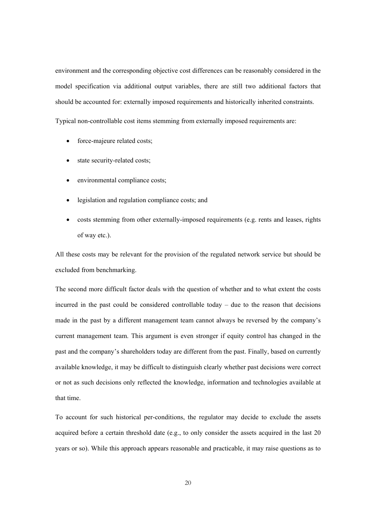environment and the corresponding objective cost differences can be reasonably considered in the model specification via additional output variables, there are still two additional factors that should be accounted for: externally imposed requirements and historically inherited constraints.

Typical non-controllable cost items stemming from externally imposed requirements are:

- force-majeure related costs;
- state security-related costs;
- environmental compliance costs;
- legislation and regulation compliance costs; and
- costs stemming from other externally-imposed requirements (e.g. rents and leases, rights of way etc.).

All these costs may be relevant for the provision of the regulated network service but should be excluded from benchmarking.

The second more difficult factor deals with the question of whether and to what extent the costs incurred in the past could be considered controllable today – due to the reason that decisions made in the past by a different management team cannot always be reversed by the company's current management team. This argument is even stronger if equity control has changed in the past and the company's shareholders today are different from the past. Finally, based on currently available knowledge, it may be difficult to distinguish clearly whether past decisions were correct or not as such decisions only reflected the knowledge, information and technologies available at that time.

To account for such historical per-conditions, the regulator may decide to exclude the assets acquired before a certain threshold date (e.g., to only consider the assets acquired in the last 20 years or so). While this approach appears reasonable and practicable, it may raise questions as to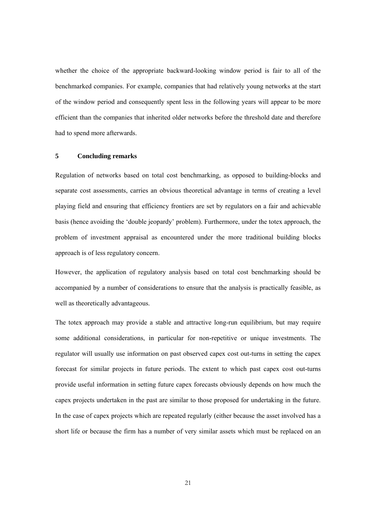whether the choice of the appropriate backward-looking window period is fair to all of the benchmarked companies. For example, companies that had relatively young networks at the start of the window period and consequently spent less in the following years will appear to be more efficient than the companies that inherited older networks before the threshold date and therefore had to spend more afterwards.

# **5 Concluding remarks**

Regulation of networks based on total cost benchmarking, as opposed to building-blocks and separate cost assessments, carries an obvious theoretical advantage in terms of creating a level playing field and ensuring that efficiency frontiers are set by regulators on a fair and achievable basis (hence avoiding the 'double jeopardy' problem). Furthermore, under the totex approach, the problem of investment appraisal as encountered under the more traditional building blocks approach is of less regulatory concern.

However, the application of regulatory analysis based on total cost benchmarking should be accompanied by a number of considerations to ensure that the analysis is practically feasible, as well as theoretically advantageous.

The totex approach may provide a stable and attractive long-run equilibrium, but may require some additional considerations, in particular for non-repetitive or unique investments. The regulator will usually use information on past observed capex cost out-turns in setting the capex forecast for similar projects in future periods. The extent to which past capex cost out-turns provide useful information in setting future capex forecasts obviously depends on how much the capex projects undertaken in the past are similar to those proposed for undertaking in the future. In the case of capex projects which are repeated regularly (either because the asset involved has a short life or because the firm has a number of very similar assets which must be replaced on an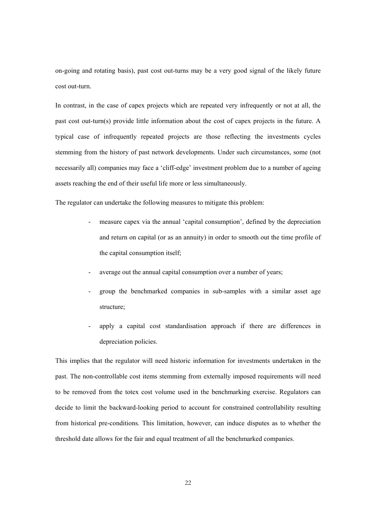on-going and rotating basis), past cost out-turns may be a very good signal of the likely future cost out-turn.

In contrast, in the case of capex projects which are repeated very infrequently or not at all, the past cost out-turn(s) provide little information about the cost of capex projects in the future. A typical case of infrequently repeated projects are those reflecting the investments cycles stemming from the history of past network developments. Under such circumstances, some (not necessarily all) companies may face a 'cliff-edge' investment problem due to a number of ageing assets reaching the end of their useful life more or less simultaneously.

The regulator can undertake the following measures to mitigate this problem:

- measure capex via the annual 'capital consumption', defined by the depreciation and return on capital (or as an annuity) in order to smooth out the time profile of the capital consumption itself;
- average out the annual capital consumption over a number of years;
- group the benchmarked companies in sub-samples with a similar asset age structure;
- apply a capital cost standardisation approach if there are differences in depreciation policies.

This implies that the regulator will need historic information for investments undertaken in the past. The non-controllable cost items stemming from externally imposed requirements will need to be removed from the totex cost volume used in the benchmarking exercise. Regulators can decide to limit the backward-looking period to account for constrained controllability resulting from historical pre-conditions. This limitation, however, can induce disputes as to whether the threshold date allows for the fair and equal treatment of all the benchmarked companies.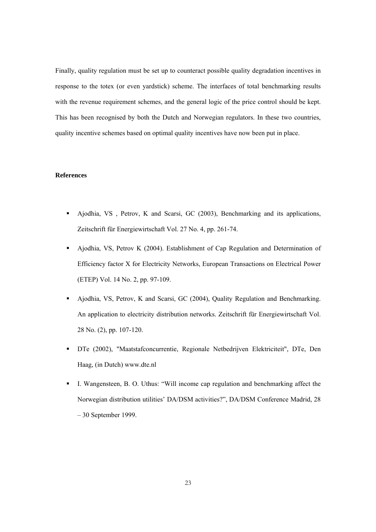Finally, quality regulation must be set up to counteract possible quality degradation incentives in response to the totex (or even yardstick) scheme. The interfaces of total benchmarking results with the revenue requirement schemes, and the general logic of the price control should be kept. This has been recognised by both the Dutch and Norwegian regulators. In these two countries, quality incentive schemes based on optimal quality incentives have now been put in place.

## **References**

- Ajodhia, VS , Petrov, K and Scarsi, GC (2003), Benchmarking and its applications, Zeitschrift für Energiewirtschaft Vol. 27 No. 4, pp. 261-74.
- Ajodhia, VS, Petrov K (2004). Establishment of Cap Regulation and Determination of Efficiency factor X for Electricity Networks, European Transactions on Electrical Power (ETEP) Vol. 14 No. 2, pp. 97-109.
- Ajodhia, VS, Petrov, K and Scarsi, GC (2004), Quality Regulation and Benchmarking. An application to electricity distribution networks. Zeitschrift für Energiewirtschaft Vol. 28 No. (2), pp. 107-120.
- DTe (2002), "Maatstafconcurrentie, Regionale Netbedrijven Elektriciteit", DTe, Den Haag, (in Dutch) www.dte.nl
- I. Wangensteen, B. O. Uthus: "Will income cap regulation and benchmarking affect the Norwegian distribution utilities' DA/DSM activities?", DA/DSM Conference Madrid, 28 – 30 September 1999.